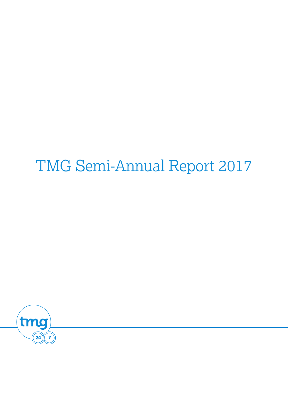# TMG Semi-Annual Report 2017

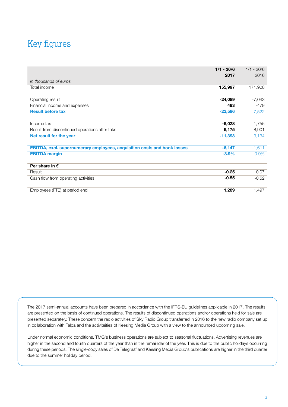# Key figures

|                                                                                 | $1/1 - 30/6$ | $1/1 - 30/6$ |
|---------------------------------------------------------------------------------|--------------|--------------|
|                                                                                 | 2017         | 2016         |
| In thousands of euros                                                           |              |              |
| Total income                                                                    | 155,997      | 171,908      |
| Operating result                                                                | $-24,089$    | $-7,043$     |
| Financial income and expenses                                                   | 493          | $-479$       |
| <b>Result before tax</b>                                                        | $-23,596$    | $-7,522$     |
| Income tax                                                                      | $-6,028$     | $-1,755$     |
| Result from discontinued operations after taks                                  | 6,175        | 8,901        |
| Net result for the year                                                         | $-11,393$    | 3,134        |
| <b>EBITDA, excl. supernumerary employees, acquisition costs and book losses</b> | $-6,147$     | $-1,611$     |
| <b>EBITDA</b> margin                                                            | $-3.9%$      | $-0.9%$      |
| Per share in $\epsilon$                                                         |              |              |
| Result                                                                          | $-0.25$      | 0.07         |
| Cash flow from operating activities                                             | $-0.55$      | $-0.52$      |
| Employees (FTE) at period end                                                   | 1,289        | 1,497        |

The 2017 semi-annual accounts have been prepared in accordance with the IFRS-EU guidelines applicable in 2017. The results are presented on the basis of continued operations. The results of discontinued operations and/or operations held for sale are presented separately. These concern the radio activities of Sky Radio Group transferred in 2016 to the new radio company set up in collaboration with Talpa and the activiteities of Keesing Media Group with a view to the announced upcoming sale.

Under normal economic conditions, TMG's business operations are subject to seasonal fluctuations. Advertising revenues are higher in the second and fourth quarters of the year than in the remainder of the year. This is due to the public holidays occurring during these periods. The single-copy sales of De Telegraaf and Keesing Media Group's publications are higher in the third quarter due to the summer holiday period.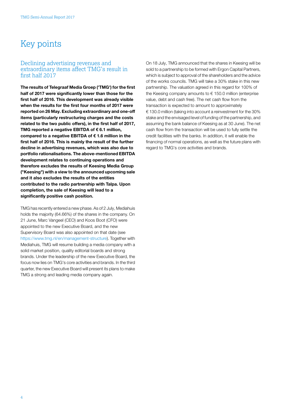# Key points

#### Declining advertising revenues and extraordinary items affect TMG's result in first half 2017

The results of Telegraaf Media Groep ('TMG') for the first half of 2017 were significantly lower than those for the first half of 2016. This development was already visible when the results for the first four months of 2017 were reported on 26 May. Excluding extraordinary and one-off items (particularly restructuring charges and the costs related to the two public offers), in the first half of 2017, TMG reported a negative EBITDA of € 6.1 million, compared to a negative EBITDA of € 1.6 million in the first half of 2016. This is mainly the result of the further decline in advertising revenues, which was also due to portfolio rationalisations. The above-mentioned EBITDA development relates to continuing operations and therefore excludes the results of Keesing Media Group ("Keesing") with a view to the announced upcoming sale and it also excludes the results of the entities contributed to the radio partnership with Talpa. Upon completion, the sale of Keesing will lead to a significantly positive cash position.

TMG has recently entered a new phase. As of 2 July, Mediahuis holds the majority (64.66%) of the shares in the company. On 21 June, Marc Vangeel (CEO) and Koos Boot (CFO) were appointed to the new Executive Board, and the new Supervisory Board was also appointed on that date (see [https://www.tmg.nl/en/management-structure\)](http://www.tmg.nl/en/management-structure). Together with Mediahuis, TMG will resume building a media company with a solid market position, quality editorial boards and strong brands. Under the leadership of the new Executive Board, the focus now lies on TMG's core activities and brands. In the third quarter, the new Executive Board will present its plans to make TMG a strong and leading media company again.

On 18 July, TMG announced that the shares in Keesing will be sold to a partnership to be formed with Ergon Capital Partners, which is subject to approval of the shareholders and the advice of the works councils. TMG will take a 30% stake in this new partnership. The valuation agreed in this regard for 100% of the Keesing company amounts to € 150.0 million (enterprise value, debt and cash free). The net cash flow from the transaction is expected to amount to approximately € 130.0 million (taking into account a reinvestment for the 30% stake and the envisaged level of funding of the partnership, and assuming the bank balance of Keesing as at 30 June). The net cash flow from the transaction will be used to fully settle the credit facilities with the banks. In addition, it will enable the financing of normal operations, as well as the future plans with regard to TMG's core activities and brands.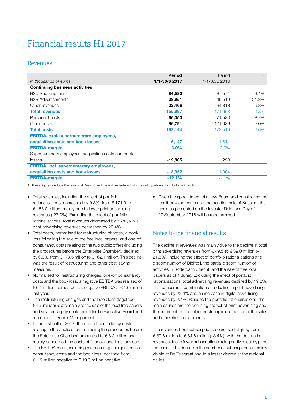# Financial results H1 2017

#### Revenues

|                                                     | <b>Period</b> | Period        | $\%$     |
|-----------------------------------------------------|---------------|---------------|----------|
| In thousands of euros                               | 1/1-30/6 2017 | 1/1-30/6 2016 |          |
| Continuing business activities <sup>1</sup>         |               |               |          |
| <b>B2C Subscriptions</b>                            | 84,580        | 87,571        | $-3.4%$  |
| <b>B2B Advertisements</b>                           | 38,951        | 49,519        | $-21.3%$ |
| Other revenues                                      | 32,466        | 34,818        | $-6.8\%$ |
| <b>Total revenues</b>                               | 155,997       | 171,908       | $-9.3%$  |
| Personnel costs                                     | 65,353        | 71,583        | $-8.7%$  |
| Other costs                                         | 96,791        | 101,936       | $-5.0\%$ |
| <b>Total costs</b>                                  | 162,144       | 173,519       | $-6.6\%$ |
| <b>EBITDA, excl. supernumerary employees,</b>       |               |               |          |
| acquisition costs and book losses                   | $-6,147$      | $-1,611$      |          |
| <b>EBITDA-margin</b>                                | $-3.9%$       | $-0.9%$       |          |
| Supernumerary employees, acquisition costs and book |               |               |          |
| losses                                              | $-12,805$     | -293          |          |
| <b>EBITDA, incl. supernumerary employees,</b>       |               |               |          |
| acquisition costs and book losses                   | $-18,952$     | $-1,904$      |          |
| <b>EBITDA-margin</b>                                | $-12.1%$      | $-1.1\%$      |          |

1 These figures exclude the results of Keesing and the entities entered into the radio partnership with Talpa in 2016.

- Total revenues, including the effect of portfolio rationalisations, decreased by 9.3%, from  $\epsilon$  171.9 to € 156.0 million, mainly due to lower print advertising revenues (-27.0%). Excluding the effect of portfolio rationalisations, total revenues decreased by 7.7%, while print advertising revenues decreased by 22.4%.
- Total costs, normalised for restructuring charges, a book loss following the sale of the free local papers, and one-off consultancy costs relating to the two public offers (including the procedures before the Enterprise Chamber), declined by 6.6%, from  $\epsilon$  173.5 million to  $\epsilon$  162.1 million. This decline was the result of restructuring and other cost-saving measures.
- Normalised for restructuring charges, one-off consultancy costs and the book loss, a negative EBITDA was realised of € 6.1 million, compared to a negative EBITDA of € 1.6 million last year.
- The restructuring charges and the book loss (together € 4.6 million) relate mainly to the sale of the local free papers and severance payments made to the Executive Board and members of Senior Management.
- In the first half of 2017, the one-off consultancy costs relating to the public offers (including the procedures before the Enterprise Chamber) amounted to  $\epsilon$  8.2 million and mainly concerned the costs of financial and legal advisers.
- The EBITDA result, including restructuring charges, one-off consultancy costs and the book loss, declined from € 1.9 million negative to € 19.0 million negative.

• Given the appointment of a new Board and considering the result developments and the pending sale of Keesing, the goals as presented on the Investor Relations Day of 27 September 2016 will be redetermined.

### Notes to the financial results

The decline in revenues was mainly due to the decline in total print advertising revenues from  $\epsilon$  49.5 to  $\epsilon$  39.0 million (-21.3%), including the effect of portfolio rationalisations (the discontinuation of Dichtbij, the partial discontinuation of activities in Rotterdam/Utrecht, and the sale of free local papers as of 1 June). Excluding the effect of portfolio rationalisations, total advertising revenues declined by 19.2%. This concerns a combination of a decline in print advertising revenues by 22.4% and an increase in digital advertising revenues by 2.4%. Besides the portfolio rationalisations, the main causes are the declining market of print advertising and the detrimental effect of restructuring implemented at the sales and marketing departments.

The revenues from subscriptions decreased slightly, from € 87.6 million to  $∈$  84.6 million (-3.4%), with the decline in revenues due to fewer subscriptions being partly offset by price increases. The decline in the number of subscriptions is mainly visible at De Telegraaf and to a lesser degree at the regional dailies.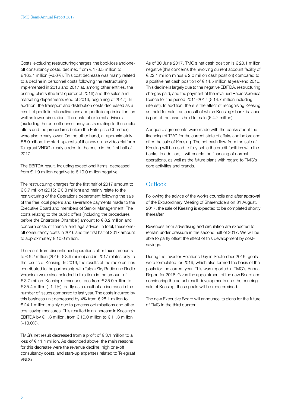Costs, excluding restructuring charges, the book loss and oneoff consultancy costs, declined from € 173.5 million to € 162.1 million (–6.6%). This cost decrease was mainly related to a decline in personnel costs following the restructuring implemented in 2016 and 2017 at, among other entities, the printing plants (the first quarter of 2016) and the sales and marketing departments (end of 2016, beginning of 2017). In addition, the transport and distribution costs decreased as a result of portfolio rationalisations and portfolio optimisation, as well as lower circulation. The costs of external advisers (excluding the one-off consultancy costs relating to the public offers and the procedures before the Enterprise Chamber) were also clearly lower. On the other hand, at approximately € 5.0 million, the start-up costs of the new online video platform Telegraaf VNDG clearly added to the costs in the first half of 2017.

The EBITDA result, including exceptional items, decreased from  $\epsilon$  1.9 million negative to  $\epsilon$  19.0 million negative.

The restructuring charges for the first half of 2017 amount to € 3.7 million (2016: € 0.3 million) and mainly relate to the restructuring of the Operations department following the sale of the free local papers and severance payments made to the Executive Board and members of Senior Managerment. The costs relating to the public offers (including the procedures before the Enterprise Chamber) amount to € 8.2 million and concern costs of financial and legal advice. In total, these oneoff consultancy costs in 2016 and the first half of 2017 amount to approximately  $\in$  10.0 million.

The result from discontinued operations after taxes amounts to € 6.2 million (2016: € 8.9 million) and in 2017 relates only to the results of Keesing. In 2016, the results of the radio entities contributed to the partnership with Talpa (Sky Radio and Radio Veronica) were also included in this item in the amount of € 3.7 million. Keesing's revenues rose from € 35.0 million to  $\in$  35.4 million (+1.1%), partly as a result of an increase in the number of issues compared to last year. The costs incurred by this business unit decreased by 4% from  $\epsilon$  25.1 million to € 24.1 million, mainly due to process optimisations and other cost saving measures. This resulted in an increase in Keesing's EBITDA by  $\epsilon$  1.3 million, from  $\epsilon$  10.0 million to  $\epsilon$  11.3 million (+13.0%).

TMG's net result decreased from a profit of  $\epsilon$  3.1 million to a loss of € 11.4 million. As described above, the main reasons for this decrease were the revenue decline, high one-off consultancy costs, and start-up expenses related to Telegraaf VNDG.

As of 30 June 2017, TMG's net cash position is  $\epsilon$  20.1 million negative (this concerns the revolving current account facility of € 22.1 million minus  $∈$  2.0 million cash position) compared to a positive net cash position of € 14.5 million at year-end 2016. This decline is largely due to the negative EBITDA, restructuring charges paid, and the payment of the revalued Radio Veronica licence for the period 2011-2017 (€ 14.7 million including interest). In addition, there is the effect of recognising Keesing as 'held for sale', as a result of which Keesing's bank balance is part of the assets held for sale ( $\in$  4.7 million).

Adequate agreements were made with the banks about the financing of TMG for the current state of affairs and before and after the sale of Keesing. The net cash flow from the sale of Keesing will be used to fully settle the credit facilities with the banks. In addition, it will enable the financing of normal operations, as well as the future plans with regard to TMG's core activities and brands.

### **Outlook**

Following the advice of the works councils and after approval of the Extraordinary Meeting of Shareholders on 31 August, 2017, the sale of Keesing is expected to be completed shortly thereafter.

Revenues from advertising and circulation are expected to remain under pressure in the second half of 2017. We will be able to partly offset the effect of this development by costsavings.

During the Investor Relations Day in September 2016, goals were formulated for 2019, which also formed the basis of the goals for the current year. This was reported in TMG's Annual Report for 2016. Given the appointment of the new Board and considering the actual result developments and the pending sale of Keesing, these goals will be redetermined.

The new Executive Board will announce its plans for the future of TMG in the third quarter.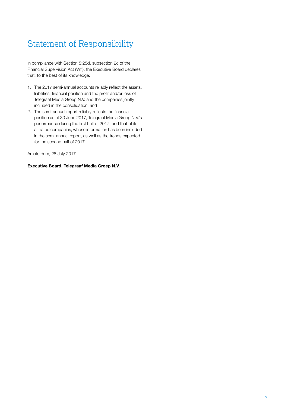# Statement of Responsibility

In compliance with Section 5:25d, subsection 2c of the Financial Supervision Act (Wft), the Executive Board declares that, to the best of its knowledge:

- 1. The 2017 semi-annual accounts reliably reflect the assets, liabilities, financial position and the profit and/or loss of Telegraaf Media Groep N.V. and the companies jointly included in the consolidation; and
- 2. The semi-annual report reliably reflects the financial position as at 30 June 2017, Telegraaf Media Groep N.V.'s performance during the first half of 2017, and that of its affiliated companies, whose information has been included in the semi-annual report, as well as the trends expected for the second half of 2017.

Amsterdam, 28 July 2017

#### Executive Board, Telegraaf Media Groep N.V.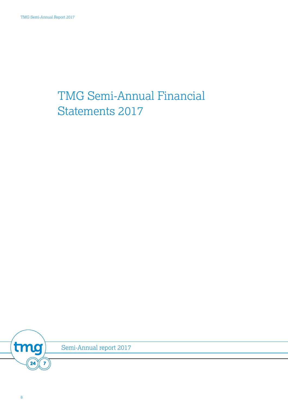# TMG Semi-Annual Financial Statements 2017

tmg  $\overline{24}$  $\overline{7}$ 

Semi-Annual report 2017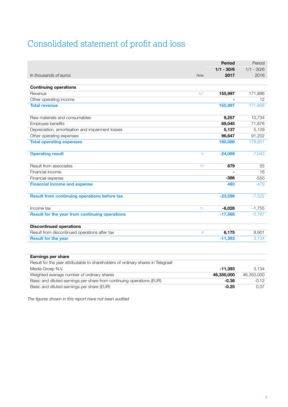# Consolidated statement of proƮt and loss

|                                                     |             | <b>Period</b> | Period       |
|-----------------------------------------------------|-------------|---------------|--------------|
|                                                     |             | $1/1 - 30/6$  | $1/1 - 30/6$ |
| In thousands of euros                               | <b>Note</b> | 2017          | 2016         |
|                                                     |             |               |              |
| <b>Continuing operations</b>                        |             |               |              |
| Revenue                                             | 6,7         | 155,997       | 171,896      |
| Other operating income                              |             |               | 12           |
| <b>Total revenue</b>                                |             | 155,997       | 171,908      |
| Raw materials and consumables                       |             | 9,257         | 10,734       |
| Employee benefits                                   |             | 69,045        | 71,876       |
| Depreciation, amortisation and impairment losses    |             | 5,137         | 5,139        |
| Other operating expenses                            |             | 96,647        | 91,202       |
| <b>Total operating expenses</b>                     |             | 180,086       | 178,951      |
| <b>Operating result</b>                             | 6           | $-24,089$     | $-7,043$     |
| Result from associates                              | 10          | 879           | 55           |
| Financial income                                    |             |               | 16           |
| Financial expense                                   |             | $-386$        | $-550$       |
| <b>Financial income and expense</b>                 |             | 493           | $-479$       |
| <b>Result from continuing operations before tax</b> |             | $-23,596$     | $-7,522$     |
| Income tax                                          | 11          | $-6,028$      | $-1,755$     |
| Result for the year from continuing operations      |             | $-17,568$     | $-5,767$     |
| <b>Discontinued operations</b>                      |             |               |              |
| Result from discontinued operations after tax       | 9           | 6,175         | 8,901        |
| <b>Result for the year</b>                          |             | $-11,393$     | 3,134        |
|                                                     |             |               |              |
| <b>Earnings per share</b>                           |             |               |              |

| Result for the year attributable to shareholders of ordinary shares in Telegraaf |            |            |
|----------------------------------------------------------------------------------|------------|------------|
| Media Groep N.V.                                                                 | -11.393    | 3.134      |
| Weighted average number of ordinary shares                                       | 46.350.000 | 46.350.000 |
| Basic and diluted earnings per share from continuing operations (EUR)            | $-0.38$    | $-0.12$    |
| Basic and diluted earnings per share (EUR)                                       | $-0.25$    | 0.07       |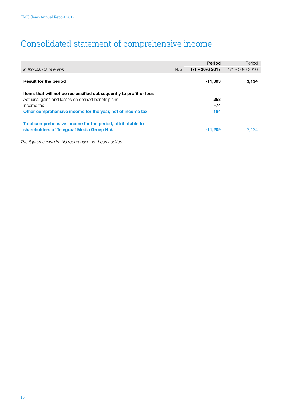# Consolidated statement of comprehensive income

|                                                                    |             | <b>Period</b>     | Period            |
|--------------------------------------------------------------------|-------------|-------------------|-------------------|
| In thousands of euros                                              | <b>Note</b> | $1/1 - 30/6$ 2017 | $1/1 - 30/6$ 2016 |
|                                                                    |             |                   |                   |
| <b>Result for the period</b>                                       |             | $-11,393$         | 3,134             |
| Items that will not be reclassified subsequently to profit or loss |             |                   |                   |
| Actuarial gains and losses on defined-benefit plans                |             | 258               |                   |
| Income tax                                                         |             | $-74$             |                   |
| Other comprehensive income for the year, net of income tax         |             | 184               |                   |
| Total comprehensive income for the period, attributable to         |             |                   |                   |
| shareholders of Telegraaf Media Groep N.V.                         |             | $-11.209$         | 3.134             |
|                                                                    |             |                   |                   |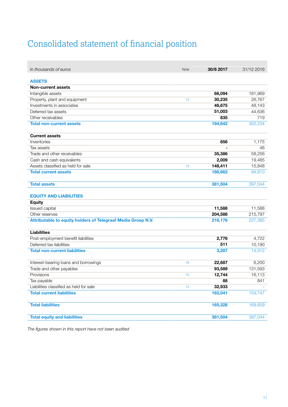# Consolidated statement of financial position

r.

| In thousands of euros                                        | Note | 30/6 2017 | 31/12 2016 |
|--------------------------------------------------------------|------|-----------|------------|
|                                                              |      |           |            |
| <b>ASSETS</b>                                                |      |           |            |
| <b>Non-current assets</b>                                    |      |           |            |
| Intangible assets                                            |      | 66,094    | 181,969    |
| Property, plant and equipment                                | 12   | 30,235    | 26,767     |
| Investments in associates                                    |      | 46,675    | 48,143     |
| Deferred tax assets                                          |      | 51,003    | 44,636     |
| Other receivables                                            |      | 835       | 719        |
| <b>Total non-current assets</b>                              |      | 194,842   | 302,234    |
| <b>Current assets</b>                                        |      |           |            |
| Inventories                                                  |      | 856       | 1,175      |
| Tax assets                                                   |      |           | 46         |
| Trade and other receivables                                  |      | 35,386    | 58,256     |
| Cash and cash equivalents                                    |      | 2,009     | 19,485     |
| Assets classified as held for sale                           | 13   | 148,411   | 15,848     |
| <b>Total current assets</b>                                  |      | 186,662   | 94,810     |
| <b>Total assets</b>                                          |      | 381,504   | 397,044    |
| <b>EQUITY AND LIABILITIES</b>                                |      |           |            |
| <b>Equity</b>                                                |      |           |            |
| Issued capital                                               |      | 11,588    | 11,588     |
| Other reserves                                               |      | 204,588   | 215,797    |
| Attributable to equity holders of Telegraaf Media Groep N.V. |      | 216,176   | 227,385    |
| <b>Liabilities</b>                                           |      |           |            |
| Post-employment benefit liabilities                          |      | 2,776     | 4,722      |
| Deferred tax liabilities                                     |      | 511       | 10,190     |
| <b>Total non-current liabilities</b>                         |      | 3,287     | 14,912     |
| Interest-bearing loans and borrowings                        | 16   | 22,687    | 6,200      |
| Trade and other payables                                     |      | 93,589    | 131,593    |
| Provisions                                                   | 15   | 12,744    | 16,113     |
| Tax payable                                                  |      | 88        | 841        |
| Liabilities classified as held for sale                      | 13   | 32,933    |            |
| <b>Total current liabilities</b>                             |      | 162,041   | 154,747    |
| <b>Total liabilities</b>                                     |      | 165,328   | 169,659    |
| <b>Total equity and liabilities</b>                          |      | 381,504   | 397,044    |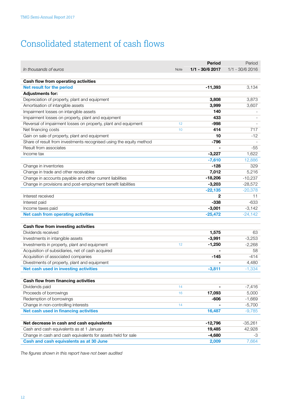# Consolidated statement of cash flows

|                                                                     |      | <b>Period</b>    | Period           |
|---------------------------------------------------------------------|------|------------------|------------------|
| In thousands of euros                                               | Note | $1/1 - 30/62017$ | $1/1 - 30/62016$ |
|                                                                     |      |                  |                  |
| Cash flow from operating activities                                 |      |                  |                  |
| Net result for the period                                           |      | $-11,393$        | 3,134            |
| <b>Adjustments for:</b>                                             |      |                  |                  |
| Depreciation of property, plant and equipment                       |      | 3,808            | 3,873            |
| Amortisation of intangible assets                                   |      | 3,999<br>140     | 3,607            |
| Impairment losses on intangible assets                              |      | 433              |                  |
| Impairment losses on property, plant and equipment                  |      | -998             |                  |
| Reversal of impairment losses on property, plant and equipment      | 12   | 414              | 717              |
| Net financing costs                                                 | 10   | 10               | $-12$            |
| Gain on sale of property, plant and equipment                       |      | $-796$           |                  |
| Share of result from investments recognised using the equity method |      |                  |                  |
| Result from associates                                              |      |                  | -55              |
| Income tax                                                          |      | $-3,227$         | 1,622            |
|                                                                     |      | $-7,610$         | 12,886           |
| Change in inventories                                               |      | $-128$           | 329              |
| Change in trade and other receivables                               |      | 7,012            | 5,216            |
| Change in accounts payable and other current liabilities            |      | $-18,206$        | $-10,237$        |
| Change in provisions and post-employment benefit liabilities        |      | $-3,203$         | $-28,572$        |
|                                                                     |      | $-22,135$        | $-20,378$        |
| Interest received                                                   |      | 2                | 11               |
| Interest paid                                                       |      | $-338$           | $-633$           |
| Income taxes paid                                                   |      | $-3,001$         | $-3,142$         |
| <b>Net cash from operating activities</b>                           |      | $-25,472$        | $-24,142$        |
| Cash flow from investing activities                                 |      |                  |                  |
| Dividends received                                                  |      | 1,575            | 63               |
| Investments in intangible assets                                    |      | $-3,991$         | $-3,253$         |
| Investments in property, plant and equipment                        | 12   | $-1,250$         | $-2,268$         |
| Acquisition of subsidiaries, net of cash acquired                   |      |                  | 58               |
| Acquisition of associated companies                                 |      | $-145$           | $-414$           |
| Divestments of property, plant and equipment                        |      |                  | 4,480            |
| Net cash used in investing activities                               |      | $-3,811$         | $-1,334$         |
|                                                                     |      |                  |                  |
| Cash flow from financing activities                                 |      |                  |                  |
| Dividends paid                                                      | 14   |                  | $-7,416$         |
| Proceeds of borrowings                                              | 16   | 17,093           | 5,000            |
| Redemption of borrowings                                            |      | $-606$           | $-1,669$         |
| Change in non-controlling interests                                 | 14   |                  | $-5,700$         |
| Net cash used in financing activities                               |      | 16,487           | $-9,785$         |
|                                                                     |      |                  |                  |
| Net decrease in cash and cash equivalents                           |      | $-12,796$        | $-35,261$        |
| Cash and cash equivalents as at 1 January                           |      | 19,485           | 42,928           |
| Change in cash and cash equivalents for assets held for sale        |      | $-4,680$         | -3               |
| Cash and cash equivalents as at 30 June                             |      | 2,009            | 7,664            |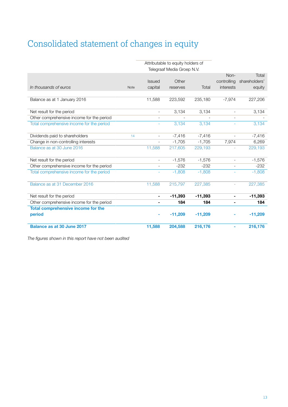# Consolidated statement of changes in equity

|                                           |             |                          | Attributable to equity holders of<br>Telegraaf Media Groep N.V. |           |                          |                        |
|-------------------------------------------|-------------|--------------------------|-----------------------------------------------------------------|-----------|--------------------------|------------------------|
|                                           |             | <b>Issued</b>            | Other                                                           |           | Non-<br>controlling      | Total<br>shareholders' |
| In thousands of euros                     | <b>Note</b> | capital                  | reserves                                                        | Total     | interests                | equity                 |
| Balance as at 1 January 2016              |             | 11,588                   | 223,592                                                         | 235,180   | $-7,974$                 | 227,206                |
| Net result for the period                 |             |                          | 3,134                                                           | 3,134     | $\overline{\phantom{a}}$ | 3,134                  |
| Other comprehensive income for the period |             |                          |                                                                 |           |                          |                        |
| Total comprehensive income for the period |             |                          | 3,134                                                           | 3,134     |                          | 3,134                  |
| Dividends paid to shareholders            | 14          | $\overline{\phantom{0}}$ | $-7,416$                                                        | $-7,416$  | $\overline{\phantom{a}}$ | $-7,416$               |
| Change in non-controlling interests       |             |                          | $-1,705$                                                        | $-1,705$  | 7,974                    | 6,269                  |
| Balance as at 30 June 2016                |             | 11,588                   | 217,605                                                         | 229,193   |                          | 229,193                |
| Net result for the period                 |             |                          | $-1,576$                                                        | $-1,576$  | $\overline{\phantom{a}}$ | $-1,576$               |
| Other comprehensive income for the period |             |                          | $-232$                                                          | $-232$    |                          | $-232$                 |
| Total comprehensive income for the period |             |                          | $-1,808$                                                        | $-1,808$  | ÷,                       | $-1,808$               |
| Balance as at 31 December 2016            |             | 11,588                   | 215,797                                                         | 227,385   | $\overline{\phantom{a}}$ | 227,385                |
| Net result for the period                 |             |                          | $-11,393$                                                       | $-11,393$ | $\blacksquare$           | $-11,393$              |
| Other comprehensive income for the period |             |                          | 184                                                             | 184       |                          | 184                    |
| Total comprehensive income for the        |             |                          |                                                                 |           |                          |                        |
| period                                    |             |                          | $-11,209$                                                       | $-11,209$ |                          | $-11,209$              |
| Balance as at 30 June 2017                |             | 11,588                   | 204,588                                                         | 216,176   |                          | 216,176                |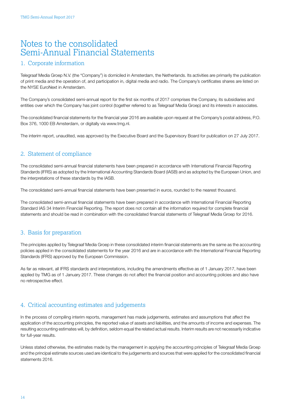## Notes to the consolidated Semi-Annual Financial Statements

#### 1. Corporate information

Telegraaf Media Groep N.V. (the "Company") is domiciled in Amsterdam, the Netherlands. Its activities are primarily the publication of print media and the operation of, and participation in, digital media and radio. The Company's certificates shares are listed on the NYSE EuroNext in Amsterdam.

The Company's consolidated semi-annual report for the first six months of 2017 comprises the Company, its subsidiaries and entities over which the Company has joint control (together referred to as Telegraaf Media Groep) and its interests in associates.

The consolidated financial statements for the financial year 2016 are available upon request at the Company's postal address, P.O. Box 376, 1000 EB Amsterdam, or digitally via www.tmg.nl.

The interim report, unaudited, was approved by the Executive Board and the Supervisory Board for publication on 27 July 2017.

### 2. Statement of compliance

The consolidated semi-annual financial statements have been prepared in accordance with International Financial Reporting Standards (IFRS) as adopted by the International Accounting Standards Board (IASB) and as adopted by the European Union, and the interpretations of these standards by the IASB.

The consolidated semi-annual financial statements have been presented in euros, rounded to the nearest thousand.

The consolidated semi-annual financial statements have been prepared in accordance with International Financial Reporting Standard IAS 34 Interim Financial Reporting. The report does not contain all the information required for complete financial statements and should be read in combination with the consolidated financial statements of Telegraaf Media Groep for 2016.

### 3. Basis for preparation

The principles applied by Telegraaf Media Groep in these consolidated interim financial statements are the same as the accounting policies applied in the consolidated statements for the year 2016 and are in accordance with the International Financial Reporting Standards (IFRS) approved by the European Commission.

As far as relevant, all IFRS standards and interpretations, including the amendments effective as of 1 January 2017, have been applied by TMG as of 1 January 2017. These changes do not affect the financial position and accounting policies and also have no retrospective effect.

### 4. Critical accounting estimates and judgements

In the process of compiling interim reports, management has made judgements, estimates and assumptions that affect the application of the accounting principles, the reported value of assets and liabilities, and the amounts of income and expenses. The resulting accounting estimates will, by definition, seldom equal the related actual results. Interim results are not necessarily indicative for full-year results.

Unless stated otherwise, the estimates made by the management in applying the accounting principles of Telegraaf Media Groep and the principal estimate sources used are identical to the judgements and sources that were applied for the consolidated financial statements 2016.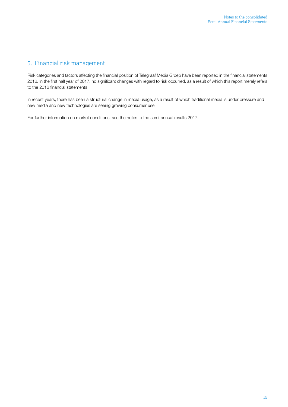### 5. Financial risk management

Risk categories and factors affecting the financial position of Telegraaf Media Groep have been reported in the financial statements 2016. In the first half year of 2017, no significant changes with regard to risk occurred, as a result of which this report merely refers to the 2016 financial statements.

In recent years, there has been a structural change in media usage, as a result of which traditional media is under pressure and new media and new technologies are seeing growing consumer use.

For further information on market conditions, see the notes to the semi-annual results 2017.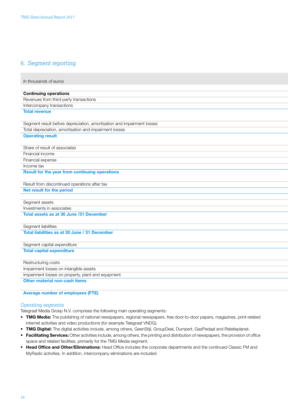### <span id="page-15-0"></span>6. Segment reporting

| In thousands of euros                                                  |
|------------------------------------------------------------------------|
| <b>Continuing operations</b>                                           |
| Revenues from third-party transactions                                 |
| Intercompany transactions                                              |
| <b>Total revenue</b>                                                   |
|                                                                        |
| Segment result before depreciation, amortisation and impairment losses |
| Total depreciation, amortisation and impairment losses                 |
| <b>Operating result</b>                                                |
| Share of result of associates                                          |
| Financial income                                                       |
| Financial expense                                                      |
| Income tax                                                             |
| <b>Result for the year from continuing operations</b>                  |
| Result from discontinued operations after tax                          |
| Net result for the period                                              |
|                                                                        |
| Segment assets                                                         |
| Investments in associates                                              |
| Total assets as at 30 June /31 December                                |
| Segment liabilities                                                    |
| Total liabilities as at 30 June / 31 December                          |
| Segment capital expenditure                                            |
| <b>Total capital expenditure</b>                                       |
| Restructuring costs                                                    |
| Impairment losses on intangible assets                                 |
| Impairment losses on property, plant and equipment                     |
| Other material non-cash items                                          |

#### Average number of employees (FTE)

#### Operating segments

Telegraaf Media Groep N.V. comprises the following main operating segments:

- TMG Media: The publishing of national newspapers, regional newspapers, free door-to-door papers, magazines, print-related internet activities and video productions (for example Telegraaf VNDG).
- TMG Digital: The digital activities include, among others, GeenStijl, GroupDeal, Dumpert, GasPedaal and Relatieplanet.
- Facilitating Services: Other activities include, among others, the printing and distribution of newspapers, the provision of office space and related facilities, primarily for the TMG Media segment.
- Head Office and Other/Eliminations: Head Office includes the corporate departments and the continued Classic FM and MyRadio activities. In addition, intercompany eliminations are included.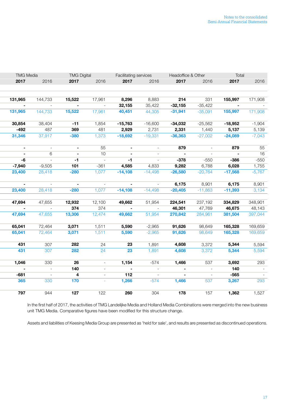| <b>TMG Media</b> |  | <b>TMG Digital</b> |        | Facilitating services |           | Headoffice & Other |           | Total      |                |          |
|------------------|--|--------------------|--------|-----------------------|-----------|--------------------|-----------|------------|----------------|----------|
| 2017             |  | 2016               | 2017   | 2016                  | 2017      | 2016               | 2017      | 2016       | 2017           | 2016     |
|                  |  |                    |        |                       |           |                    |           |            |                |          |
|                  |  |                    |        |                       |           |                    |           |            |                |          |
| 131,965          |  | 144,733            | 15,522 | 17,961                | 8,296     | 8,883              | 214       | 331        | 155,997        | 171,908  |
| $\sim$           |  | $\sim$             | $\sim$ | $\sim$ $-$            | 32,155    | 35,422             | $-32,155$ | $-35,422$  | $\blacksquare$ | $\sim$   |
| 131,965          |  | 144,733            | 15,522 | 17,961                | 40,451    | 44,305             | $-31,941$ | $-35,091$  | 155,997        | 171,908  |
| 30,854           |  | 38,404             | $-11$  | 1,854                 | $-15,763$ | $-16,600$          | $-34,032$ | $-25,562$  | $-18,952$      | $-1,904$ |
| $-492$           |  | 487                | 369    | 481                   | 2,929     | 2,731              | 2,331     | 1,440      | 5,137          | 5,139    |
| 31,346           |  | 37,917             | $-380$ | 1,373                 | $-18,692$ | $-19,331$          | $-36,363$ | $-27,002$  | $-24,089$      | $-7,043$ |
| $\sim$           |  | $\sim$             | $\sim$ | 55                    | $\sim$    | $\sim$             | 879       | $\sim$     | 879            | 55       |
| $\sim$           |  | 6                  | $\sim$ | 10                    | $\sim$    | $\sim$             | $\sim$    | $\sim$ $-$ | $\sim$ $-$     | 16       |
| -6               |  | $\sim$             | $-1$   | $\sim$ $-$            | -1        | $\sim$             | $-378$    | $-550$     | $-386$         | $-550$   |
| $-7,940$         |  | $-9,505$           | 101    | $-361$                | 4,585     | 4,833              | 9,282     | 6,788      | 6,028          | 1,755    |
| 23,400           |  | 28,418             | $-280$ | 1,077                 | $-14,108$ | $-14,498$          | $-26,580$ | $-20,764$  | $-17,568$      | $-5,767$ |
| $\sim$           |  | $\sim$             | $\sim$ | $\sim$                | $\sim$    | $\sim$             | 6,175     | 8,901      | 6,175          | 8,901    |
| 23,400           |  | 28,418             | $-280$ | 1,077                 | $-14,108$ | $-14,498$          | $-20,405$ | $-11,863$  | $-11,393$      | 3,134    |
|                  |  |                    |        |                       |           |                    |           |            |                |          |
| 47,694           |  | 47,655             | 12,932 | 12,100                | 49,662    | 51,954             | 224,541   | 237,192    | 334,829        | 348,901  |
| $\sim$           |  | $\sim$             | 374    | 374                   | $\sim$    | $\sim$             | 46,301    | 47,769     | 46,675         | 48,143   |
| 47,694           |  | 47,655             | 13,306 | 12,474                | 49,662    | 51,954             | 270,842   | 284,961    | 381,504        | 397,044  |
| 65,041           |  | 72,464             | 3,071  | 1,511                 | 5,590     | $-2,965$           | 91,626    | 98,649     | 165,328        | 169,659  |
| 65,041           |  | 72,464             | 3,071  | 1,511                 | 5,590     | $-2,965$           | 91,626    | 98,649     | 165,328        | 169,659  |
| 431              |  | 307                | 282    | 24                    | 23        | 1,891              | 4,608     | 3,372      | 5,344          | 5,594    |
| 431              |  | 307                | 282    | 24                    | 23        | 1,891              | 4,608     | 3,372      | 5,344          | 5,594    |
| 1,046            |  | 330                | 26     | $\sim$                | 1,154     | $-574$             | 1,466     | 537        | 3,692          | 293      |
| $\sim$           |  | $\sim$             | 140    | $\sim$ .              | $\sim$    | $\sim$             | $\sim$    | $\sim$     | 140            |          |
| $-681$           |  | $\sim$             | 4      | $\sim$ $-$            | 112       | $\sim$ $-$         | $\sim$    | $\sim$     | $-565$         |          |
| 365              |  | 330                | 170    | $\sim$                | 1,266     | $-574$             | 1,466     | 537        | 3,267          | 293      |
|                  |  |                    |        |                       |           |                    |           |            |                |          |
| 797              |  | 944                | 127    | 122                   | 260       | 304                | 178       | 157        | 1,362          | 1,527    |

In the first half of 2017, the activities of TMG Landelijke Media and Holland Media Combinations were merged into the new business unit TMG Media. Comparative figures have been modified for this structure change.

Assets and liabilities of Keesing Media Group are presented as 'held for sale', and results are presented as discontinued operations.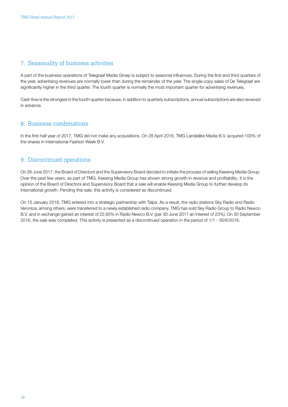### <span id="page-17-0"></span>7. Seasonality of business activities

A part of the business operations of Telegraaf Media Groep is subject to seasonal influences. During the first and third quarters of the year, advertising revenues are normally lower than during the remainder of the year. The single-copy sales of De Telegraaf are significantly higher in the third quarter. The fourth quarter is normally the most important quarter for advertising revenues.

Cash flow is the strongest in the fourth quarter because, in addition to quarterly subscriptions, annual subscriptions are also received in advance.

### 8. Business combinations

In the first half year of 2017, TMG did not make any acquisitions. On 28 April 2016, TMG Landelijke Media B.V. acquired 100% of the shares in International Fashion Week B.V.

### 9. Discontinued operations

On 26 June 2017, the Board of Directors and the Supervisory Board decided to initiate the process of selling Keesing Media Group. Over the past few years, as part of TMG, Keesing Media Group has shown strong growth in revenue and profitability. It is the opinion of the Board of Directors and Supervisory Board that a sale will enable Keesing Media Group to further develop its international growth. Pending this sale, this activity is considered as discontinued.

On 15 January 2016, TMG entered into a strategic partnership with Talpa. As a result, the radio stations Sky Radio and Radio Veronica, among others, were transferred to a newly established radio company. TMG has sold Sky Radio Group to Radio Newco B.V. and in exchange gained an interest of 22,85% in Radio Newco B.V. (per 30 June 2017 an interest of 23%). On 30 September 2016, the sale was completed. This activity is presented as a discontinued operation in the period of 1/1 - 30/6/2016.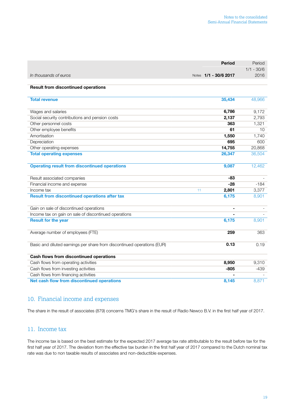<span id="page-18-0"></span>

|                                                                         | <b>Period</b>         | Period       |
|-------------------------------------------------------------------------|-----------------------|--------------|
|                                                                         |                       | $1/1 - 30/6$ |
| In thousands of euros                                                   | Notes 1/1 - 30/6 2017 | 2016         |
| <b>Result from discontinued operations</b>                              |                       |              |
| <b>Total revenue</b>                                                    | 35,434                | 48,966       |
| Wages and salaries                                                      | 6,786                 | 9,172        |
| Social security contributions and pension costs                         | 2,137                 | 2,793        |
| Other personnel costs                                                   | 363                   | 1,321        |
| Other employee benefits                                                 | 61                    | 10           |
| Amortisation                                                            | 1,550                 | 1,740        |
| Depreciation                                                            | 695                   | 600          |
| Other operating expenses                                                | 14,755                | 20,868       |
| <b>Total operating expenses</b>                                         | 26,347                | 36,504       |
| <b>Operating result from discontinued operations</b>                    | 9,087                 | 12,462       |
| Result associated companies                                             | -83                   |              |
| Financial income and expense                                            | $-28$                 | $-184$       |
| Income tax                                                              | 2,801<br>11           | 3,377        |
| <b>Result from discontinued operations after tax</b>                    | 6,175                 | 8,901        |
| Gain on sale of discontinued operations                                 | $\blacksquare$        |              |
| Income tax on gain on sale of discontinued operations                   |                       |              |
| <b>Result for the year</b>                                              | 6,175                 | 8,901        |
| Average number of employees (FTE)                                       | 259                   | 363          |
| Basic and diluted earnings per share from discontinued operations (EUR) | 0.13                  | 0.19         |
| Cash flows from discontinued operations                                 |                       |              |
| Cash flows from operating activities                                    | 8,950                 | 9,310        |
| Cash flows from investing activities                                    | $-805$                | $-439$       |
| Cash flows from financing activities                                    |                       |              |
| Net cash flow from discontinued operations                              | 8,145                 | 8,871        |

### 10. Financial income and expenses

The share in the result of associates (879) concerns TMG's share in the result of Radio Newco B.V. in the first half year of 2017.

#### 11. Income tax

The income tax is based on the best estimate for the expected 2017 average tax rate attributable to the result before tax for the first half year of 2017. The deviation from the effective tax burden in the first half year of 2017 compared to the Dutch nominal tax rate was due to non taxable results of associates and non-deductible expenses.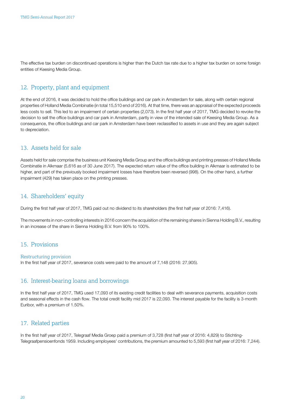<span id="page-19-0"></span>The effective tax burden on discontinued operations is higher than the Dutch tax rate due to a higher tax burden on some foreign entities of Keesing Media Group.

### 12. Property, plant and equipment

At the end of 2016, it was decided to hold the office buildings and car park in Amsterdam for sale, along with certain regional properties of Holland Media Combinatie (in total 15,510 end of 2016). At that time, there was an appraisal of the expected proceeds less costs to sell. This led to an impairment of certain properties (2,073). In the first half year of 2017, TMG decided to revoke the decision to sell the office buildings and car park in Amsterdam, partly in view of the intended sale of Keesing Media Group. As a consequence, the office buildings and car park in Amsterdam have been reclassified to assets in use and they are again subject to depreciation.

#### 13. Assets held for sale

Assets held for sale comprise the business unit Keesing Media Group and the office buildings and printing presses of Holland Media Combinatie in Alkmaar (5,616 as of 30 June 2017). The expected return value of the office building in Alkmaar is estimated to be higher, and part of the previously booked impairment losses have therefore been reversed (998). On the other hand, a further impairment (429) has taken place on the printing presses.

#### 14. Shareholders' equity

During the first half year of 2017, TMG paid out no dividend to its shareholders (the first half year of 2016: 7,416).

The movements in non-controlling interests in 2016 concern the acquisition of the remaining shares in Sienna Holding B.V., resulting in an increase of the share in Sienna Holding B.V. from 90% to 100%.

#### 15. Provisions

#### Restructuring provision

In the first half year of 2017, severance costs were paid to the amount of 7,148 (2016: 27,905).

#### 16. Interest-bearing loans and borrowings

In the first half year of 2017, TMG used 17,093 of its existing credit facilities to deal with severance payments, acquisition costs and seasonal effects in the cash flow. The total credit facility mid 2017 is 22,093. The interest payable for the facility is 3-month Euribor, with a premium of 1.50%.

#### 17. Related parties

In the first half year of 2017, Telegraaf Media Groep paid a premium of 3,728 (first half year of 2016: 4,829) to Stichting-Telegraafpensioenfonds 1959. Including employees' contributions, the premium amounted to 5,593 (first half year of 2016: 7,244).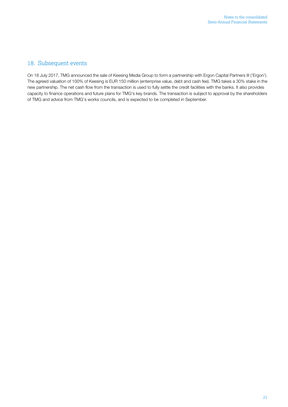### 18. Subsequent events

On 18 July 2017, TMG announced the sale of Keesing Media Group to form a partnership with Ergon Capital Partners III ('Ergon'). The agreed valuation of 100% of Keesing is EUR 150 million (enterrprise value, debt and cash fee). TMG takes a 30% stake in the new partnership. The net cash flow from the transaction is used to fully settle the credit facilities with the banks. It also provides capacity to finance operations and future plans for TMG's key brands. The transaction is subject to approval by the shareholders of TMG and advice from TMG's works councils, and is expected to be completed in September.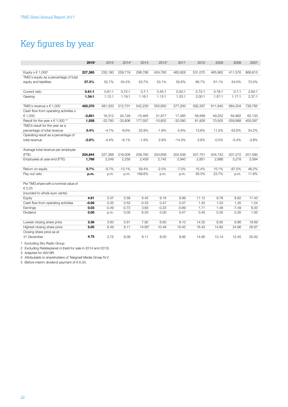# Key figures by year

|                                                                         | 20161    | 2015      | $2014^2$  | 2013      | 2012 <sup>3</sup> | 2011      | 2010    | 2009    | 2008       | 2007    |
|-------------------------------------------------------------------------|----------|-----------|-----------|-----------|-------------------|-----------|---------|---------|------------|---------|
|                                                                         |          |           |           |           |                   |           |         |         |            |         |
| Equity $x \in 1,000^4$                                                  | 227,385  | 235,180   | 258,719   | 298,786   | 424,760           | 465,828   | 531,075 | 465,962 | 411,576    | 866,815 |
| TMG's equity as a percentage of total                                   |          |           |           |           |                   |           |         |         |            |         |
| equity and liabilities                                                  | 57.3%    | 52.7%     | 54.4%     | 53.7%     | 53.1%             | 55.6%     | 66.7%   | 61.1%   | 54.0%      | 70.3%   |
| Current ratio                                                           | 0.61:1   | 0.61:1    | 0.72:1    | 0.7:1     | 0.45:1            | 0.50:1    | 0.72:1  | 0.78:1  | 0.7:1      | 2.64:1  |
| Gearing                                                                 | 1.34:1   | 1.12:1    | 1.19:1    | 1.16:1    | 1.13:1            | 1.25:1    | 2.00:1  | 1.57:1  | 1.17:1     | 2.37:1  |
|                                                                         |          |           |           |           |                   |           |         |         |            |         |
| TMG's revenue $x \in 1,000$                                             | 420,370  | 481,333   | 512,701   | 542,230   | 555,850           | 577,200   | 592,297 | 611.840 | 684,204    | 738,795 |
| Cash flow from operating activities x                                   |          |           |           |           |                   |           |         |         |            |         |
| € 1,000                                                                 | $-2,851$ | 16,312    | 24,129    | $-15,465$ | 21,977            | 17,485    | 59,569  | 49,252  | 64,962     | 62,130  |
| Result for the year $x \in 1,000$ **                                    | 1,558    | $-22,760$ | $-33,806$ | 177,597   | $-10,602$         | $-32,590$ | 81,826  | 70,505  | $-359,988$ | 400,097 |
| TMG's result for the year as a                                          |          |           |           |           |                   |           |         |         |            |         |
| percentage of total revenue                                             | 0.4%     | $-4.7%$   | $-6.6%$   | 32.8%     | $-1.9%$           | $-5.6%$   | 13.8%   | 11.5%   | $-52.6%$   | 54.2%   |
| Operating result as a percentage of                                     |          |           |           |           |                   |           |         |         |            |         |
| total revenue                                                           | $-2.0%$  | $-4.4%$   | $-6.1%$   | $-1.9%$   | 2.9%              | $-14.3%$  | 3.8%    | $-0.5%$ | $-5.4%$    | $-3.8%$ |
|                                                                         |          |           |           |           |                   |           |         |         |            |         |
| Average total revenue per employee                                      |          |           |           |           |                   |           |         |         |            |         |
| (FTE)                                                                   | 234,844  | 227,366   | 219,009   | 209,760   | 204,658           | 204,536   | 207,751 | 204,743 | 207,272    | 201,590 |
| Employees at year-end (FTE)                                             | 1,766    | 2,049     | 2,259     | 2,459     | 2,745             | 2,940     | 2,851   | 2,988   | 3,278      | 3,594   |
|                                                                         |          |           |           |           |                   |           |         |         |            |         |
| Return on equity                                                        | 0.7%     | $-9.7%$   | $-13.1%$  | 59.4%     | $-2.5%$           | $-7.0%$   | 15.4%   | 15.1%   | $-87.5%$   | 46.2%   |
| Pay-out ratio                                                           | p.m.     | p.m.      | p.m.      | 169.6%    | p.m.              | p.m.      | 26.3%   | 23.7%   | p.m.       | 11.9%   |
|                                                                         |          |           |           |           |                   |           |         |         |            |         |
| Per TMG share with a nominal value of                                   |          |           |           |           |                   |           |         |         |            |         |
| € 0.25                                                                  |          |           |           |           |                   |           |         |         |            |         |
| (rounded to whole euro cents):                                          |          |           |           |           |                   |           |         |         |            |         |
| Equity                                                                  | 4.91     | 5.07      | 5.58      | 6.45      | 9.16              | 9.99      | 11.12   | 9.76    | 8.62       | 17.43   |
| Cash flow from operating activities                                     | $-0.06$  | 0.35      | 0.52      | $-0.33$   | 0.47              | 0.37      | 1.25    | 1.03    | 1.35       | 1.24    |
| Earnings                                                                | 0.03     | $-0.49$   | $-0.73$   | 3.83      | $-0.23$           | $-0.69$   | 1.71    | 1.48    | $-7.49$    | 8.00    |
| Dividend                                                                | 0.00     | p.m.      | 0.00      | 6.50      | 0.00              | 0.47      | 0.45    | 0.35    | 0.35       | 1.00    |
| Lowest closing share price                                              | 3.36     | 3.60      | 5.61      | 7.92      | 6.60              | 9.10      | 14.52   | 8.95    | 8.86       | 19.69   |
| Highest closing share price                                             | 5.00     | 6.49      | 9.11      | 14.855    | 10.49             | 16.45     | 16.45   | 14.80   | 24.86      | 26.87   |
|                                                                         |          |           |           |           |                   |           |         |         |            |         |
|                                                                         |          |           |           |           |                   |           |         |         |            |         |
|                                                                         |          |           |           |           |                   |           |         |         |            |         |
| Closing share price as at<br>31 December<br>1 Excluding Sky Radio Group | 4.75     | 3.75      | 6.09      | 9.11      | 8.00              | 9.95      | 14.95   | 13.14   | 12.45      | 25.00   |

2 Excluding Relatieplanet.nl (held for sale in 2014 and 2013)

3 Adapted for IAS19R.

4 Attributable to shareholders of Telegraaf Media Groep N.V.

5 Before interim dividend payment of  $\epsilon$  6.00.